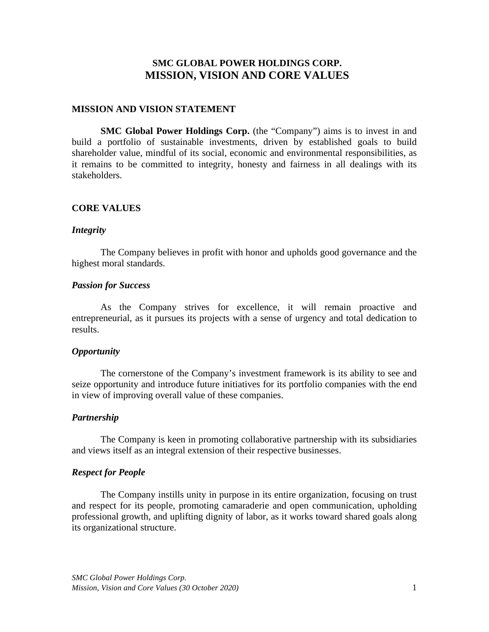# **SMC GLOBAL POWER HOLDINGS CORP. MISSION, VISION AND CORE VALUES**

## **MISSION AND VISION STATEMENT**

**SMC Global Power Holdings Corp.** (the "Company") aims is to invest in and build a portfolio of sustainable investments, driven by established goals to build shareholder value, mindful of its social, economic and environmental responsibilities, as it remains to be committed to integrity, honesty and fairness in all dealings with its stakeholders.

## **CORE VALUES**

#### *Integrity*

The Company believes in profit with honor and upholds good governance and the highest moral standards.

#### *Passion for Success*

As the Company strives for excellence, it will remain proactive and entrepreneurial, as it pursues its projects with a sense of urgency and total dedication to results.

#### *Opportunity*

The cornerstone of the Company's investment framework is its ability to see and seize opportunity and introduce future initiatives for its portfolio companies with the end in view of improving overall value of these companies.

#### *Partnership*

The Company is keen in promoting collaborative partnership with its subsidiaries and views itself as an integral extension of their respective businesses.

#### *Respect for People*

The Company instills unity in purpose in its entire organization, focusing on trust and respect for its people, promoting camaraderie and open communication, upholding professional growth, and uplifting dignity of labor, as it works toward shared goals along its organizational structure.